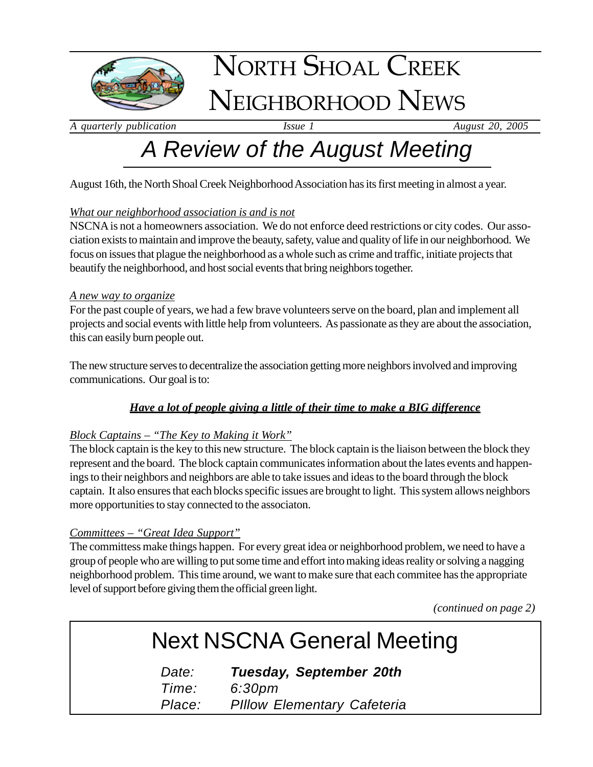

# NORTH SHOAL CREEK NEIGHBORHOOD NEWS

*A quarterly publication Issue 1 August 20, 2005*

# *A Review of the August Meeting*

August 16th, the North Shoal Creek Neighborhood Association has its first meeting in almost a year.

#### *What our neighborhood association is and is not*

NSCNA is not a homeowners association. We do not enforce deed restrictions or city codes. Our association exists to maintain and improve the beauty, safety, value and quality of life in our neighborhood. We focus on issues that plague the neighborhood as a whole such as crime and traffic, initiate projects that beautify the neighborhood, and host social events that bring neighbors together.

#### *A new way to organize*

For the past couple of years, we had a few brave volunteers serve on the board, plan and implement all projects and social events with little help from volunteers. As passionate as they are about the association, this can easily burn people out.

The new structure serves to decentralize the association getting more neighbors involved and improving communications. Our goal is to:

#### *Have a lot of people giving a little of their time to make a BIG difference*

#### *Block Captains – "The Key to Making it Work"*

The block captain is the key to this new structure. The block captain is the liaison between the block they represent and the board. The block captain communicates information about the lates events and happenings to their neighbors and neighbors are able to take issues and ideas to the board through the block captain. It also ensures that each blocks specific issues are brought to light. This system allows neighbors more opportunities to stay connected to the associaton.

#### *Committees – "Great Idea Support"*

The committess make things happen. For every great idea or neighborhood problem, we need to have a group of people who are willing to put some time and effort into making ideas reality or solving a nagging neighborhood problem. This time around, we want to make sure that each commitee has the appropriate level of support before giving them the official green light.

*(continued on page 2)*

### Next NSCNA General Meeting

*Date: Tuesday, September 20th Time: 6:30pm Place: PIllow Elementary Cafeteria*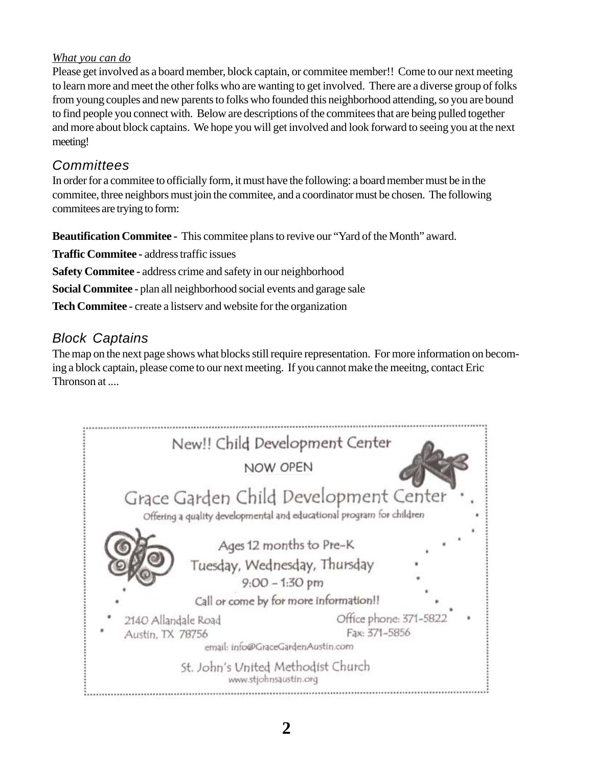#### *What you can do*

Please get involved as a board member, block captain, or commitee member!! Come to our next meeting to learn more and meet the other folks who are wanting to get involved. There are a diverse group of folks from young couples and new parents to folks who founded this neighborhood attending, so you are bound to find people you connect with. Below are descriptions of the commitees that are being pulled together and more about block captains. We hope you will get involved and look forward to seeing you at the next meeting!

### *Committees*

In order for a commitee to officially form, it must have the following: a board member must be in the commitee, three neighbors must join the commitee, and a coordinator must be chosen. The following commitees are trying to form:

**Beautification Commitee -** This commitee plans to revive our "Yard of the Month" award.

**Traffic Commitee -** address traffic issues

**Safety Commitee -** address crime and safety in our neighborhood

**Social Commitee -** plan all neighborhood social events and garage sale

**Tech Commitee** - create a listserv and website for the organization

### *Block Captains*

The map on the next page shows what blocks still require representation. For more information on becoming a block captain, please come to our next meeting. If you cannot make the meeitng, contact Eric Thronson at ....

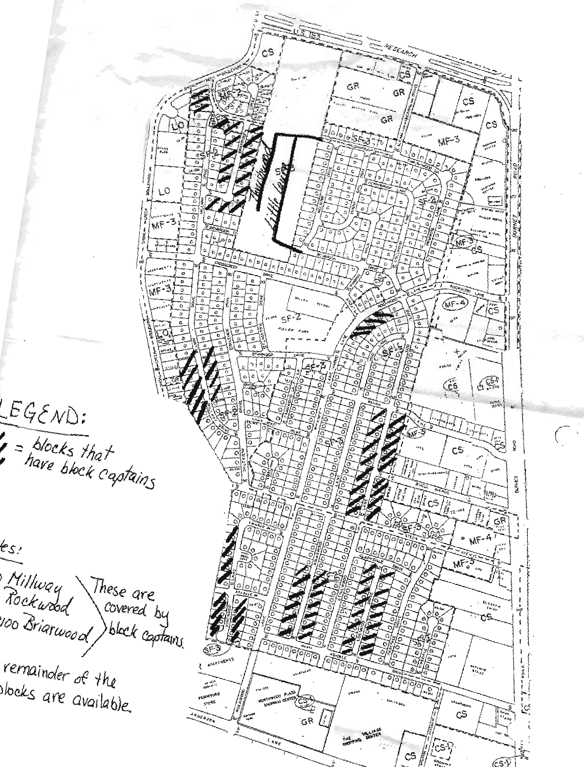$c<sub>s</sub>$ GR GR  $c\dot{s}$ GR  $c<sub>s</sub>$  $MF-3$ Separate ומיים<br>אלה ל LO MF  $\frac{1}{2}$  $\frac{1}{\circ}$  $\circ$   $\circ$   $\circ$ WIF  $\overline{\cdot}$  $MF-4$ ics  $6.51$ CS  $LEGEND:$  $\frac{4}{2}$  $\frac{1}{2}$  = blocks that<br>have block captains  $\sum_{i=1}^{n}$  $\frac{1}{\circ}$ Ş CS.  $\overline{\circ}$ **BURNET** ء<br>arcs  $MF$ ts: MF-Millway<br>Rockwood These are<br>covered by 100 Briarwood r.s block captains. remainder of the  $\begin{array}{l} \displaystyle \mathbf{A}_{d,\mathbf{R}_{d},\mathbf{R}_{d},\mathbf{R}_{d}} \\ \displaystyle \mathbf{B}_{d,\mathbf{R}_{d},\mathbf{R}_{d}} \end{array}$ books are available.  $\tilde{\mathfrak{c}}$  $G^R$ resiy<br>-- -奕  $c$ s لا-65

 $\mathcal{L}_{\mathcal{A}}$